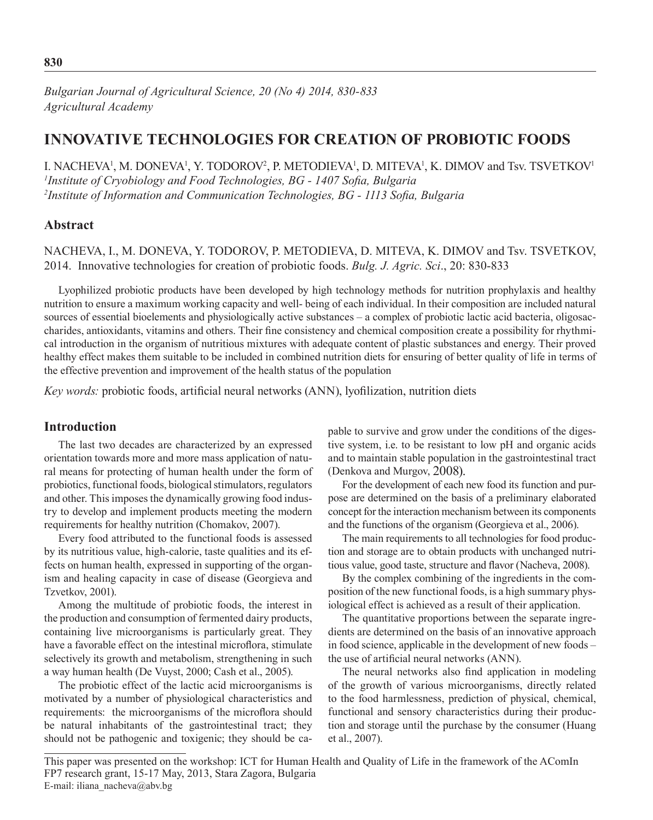*Bulgarian Journal of Agricultural Science, 20 (No 4) 2014, 830-833 Agricultural Academy*

# **INNOVATIVE TECHNOLOGIES FOR CREATION OF PROBIOTIC FOODS**

I. NACHEVA<sup>1</sup>, M. DONEVA<sup>1</sup>, Y. TODOROV<sup>2</sup>, P. METODIEVA<sup>1</sup>, D. MITEVA<sup>1</sup>, K. DIMOV and Tsv. TSVETKOV<sup>1</sup> *1 Institute of Cryobiology and Food Technologies, BG - 1407 Sofia, Bulgaria 2 Institute of Information and Communication Technologies, BG - 1113 Sofia, Bulgaria*

## **Abstract**

NACHEVA, I., M. DONEVA, Y. TODOROV, P. METODIEVA, D. MITEVA, K. DIMOV and Tsv. TSVETKOV, 2014.Innovative technologies for creation of probiotic foods. *Bulg. J. Agric. Sci*., 20: 830-833

Lyophilized probiotic products have been developed by high technology methods for nutrition prophylaxis and healthy nutrition to ensure a maximum working capacity and well- being of each individual. In their composition are included natural sources of essential bioelements and physiologically active substances – a complex of probiotic lactic acid bacteria, oligosaccharides, antioxidants, vitamins and others. Their fine consistency and chemical composition create a possibility for rhythmical introduction in the organism of nutritious mixtures with adequate content of plastic substances and energy. Their proved healthy effect makes them suitable to be included in combined nutrition diets for ensuring of better quality of life in terms of the effective prevention and improvement of the health status of the population

*Key words:* probiotic foods, artificial neural networks (ANN), lyofilization, nutrition diets

# **Introduction**

The last two decades are characterized by an expressed orientation towards more and more mass application of natural means for protecting of human health under the form of probiotics, functional foods, biological stimulators, regulators and other. This imposes the dynamically growing food industry to develop and implement products meeting the modern requirements for healthy nutrition (Chomakov, 2007).

Every food attributed to the functional foods is assessed by its nutritious value, high-calorie, taste qualities and its effects on human health, expressed in supporting of the organism and healing capacity in case of disease (Georgieva and Tzvetkov, 2001).

Among the multitude of probiotic foods, the interest in the production and consumption of fermented dairy products, containing live microorganisms is particularly great. They have a favorable effect on the intestinal microflora, stimulate selectively its growth and metabolism, strengthening in such a way human health (De Vuyst, 2000; Cash et al., 2005).

The probiotic effect of the lactic acid microorganisms is motivated by a number of physiological characteristics and requirements: the microorganisms of the microflora should be natural inhabitants of the gastrointestinal tract; they should not be pathogenic and toxigenic; they should be capable to survive and grow under the conditions of the digestive system, i.e. to be resistant to low pH and organic acids and to maintain stable population in the gastrointestinal tract (Denkova and Murgov, 2008).

For the development of each new food its function and purpose are determined on the basis of a preliminary elaborated concept for the interaction mechanism between its components and the functions of the organism (Georgieva et al., 2006).

The main requirements to all technologies for food production and storage are to obtain products with unchanged nutritious value, good taste, structure and flavor (Nacheva, 2008).

By the complex combining of the ingredients in the composition of the new functional foods, is a high summary physiological effect is achieved as a result of their application.

The quantitative proportions between the separate ingredients are determined on the basis of an innovative approach in food science, applicable in the development of new foods – the use of artificial neural networks (АNN).

The neural networks also find application in modeling of the growth of various microorganisms, directly related to the food harmlessness, prediction of physical, chemical, functional and sensory characteristics during their production and storage until the purchase by the consumer (Huang et al., 2007).

This paper was presented on the workshop: ICT for Human Health and Quality of Life in the framework of the AComIn FP7 research grant, 15-17 May, 2013, Stara Zagora, Bulgaria E-mail: iliana\_nacheva@abv.bg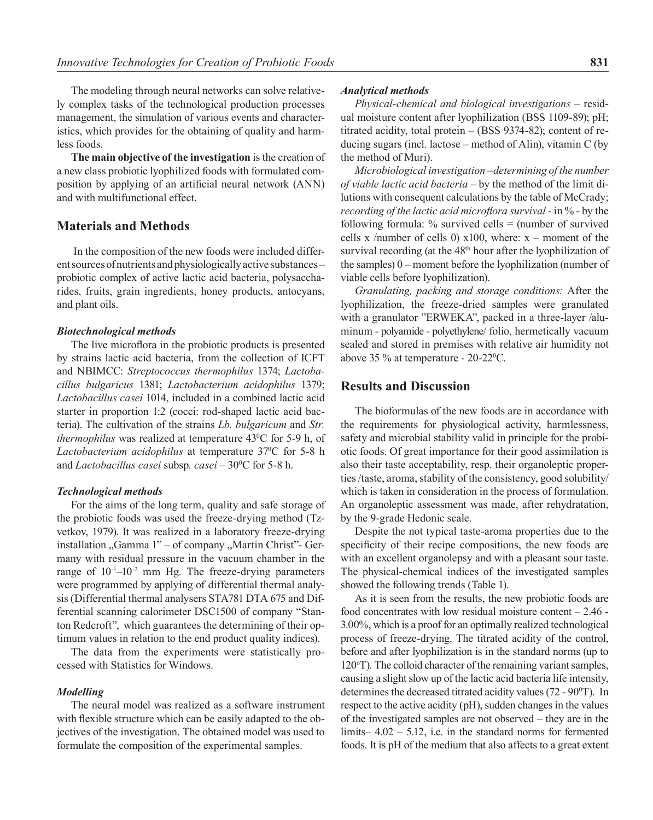The modeling through neural networks can solve relatively complex tasks of the technological production processes management, the simulation of various events and characteristics, which provides for the obtaining of quality and harmless foods.

**The main objective of the investigation** is the creation of a new class probiotic lyophilized foods with formulated composition by applying of an artificial neural network (ANN) and with multifunctional effect.

# **Materials and Methods**

 In the composition of the new foods were included different sources of nutrients and physiologically active substances – probiotic complex of active lactic acid bacteria, polysaccharides, fruits, grain ingredients, honey products, antocyans, and plant oils.

### *Biotechnological methods*

The live microflora in the probiotic products is presented by strains lactic acid bacteria, from the collection of ICFT and NBIMCC: *Streptococcus thermophilus* 1374; *Lactobacillus bulgaricus* 1381; *Lactobacterium acidophilus* 1379; *Lactobacillus casei* 1014, included in a combined lactic acid starter in proportion 1:2 (cocci: rod-shaped lactic acid bacteria). The cultivation of the strains *Lb. bulgaricum* and *Str. thermophilus* was realized at temperature 43<sup>o</sup>C for 5-9 h, of Lactobacterium acidophilus at temperature 37<sup>o</sup>C for 5-8 h and *Lactobacillus casei* subsp. *casei* – 30<sup>o</sup>C for 5-8 h.

#### *Technological methods*

For the aims of the long term, quality and safe storage of the probiotic foods was used the freeze-drying method (Tzvetkov, 1979). It was realized in a laboratory freeze-drying installation "Gamma 1" – of company "Martin Christ"- Germany with residual pressure in the vacuum chamber in the range of  $10^{-1}$ – $10^{-2}$  mm Hg. The freeze-drying parameters were programmed by applying of differential thermal analysis (Differential thermal analysers STA781 DTA 675 and Differential scanning calorimeter DSC1500 of company "Stanton Redcroft", which guarantees the determining of their optimum values in relation to the end product quality indices).

The data from the experiments were statistically processed with Statistics for Windows.

### *Modelling*

The neural model was realized as a software instrument with flexible structure which can be easily adapted to the objectives of the investigation. The obtained model was used to formulate the composition of the experimental samples.

#### *Analytical methods*

*Physical-chemical and biological investigations –* residual moisture content after lyophilization (BSS 1109-89); рН; titrated acidity, total protein – (BSS 9374-82); content of reducing sugars (incl. lactose – method of Alin), vitamin С (by the method of Muri).

*Microbiological investigation –determining of the number of viable lactic acid bacteria* – by the method of the limit dilutions with consequent calculations by the table of МcCrady; *recording of the lactic acid microflora survival* - in % - by the following formula:  $\%$  survived cells = (number of survived cells x /number of cells 0)  $x100$ , where:  $x$  – moment of the survival recording (at the 48<sup>th</sup> hour after the lyophilization of the samples) 0 – moment before the lyophilization (number of viable cells before lyophilization).

*Granulating, packing and storage conditions:* After the lyophilization, the freeze-dried samples were granulated with a granulator "ERWEKA", packed in a three-layer /aluminum - polyamide - polyethylene/ folio, hermetically vacuum sealed and stored in premises with relative air humidity not above 35  $\%$  at temperature - 20-22 °C.

### **Results and Discussion**

The bioformulas of the new foods are in accordance with the requirements for physiological activity, harmlessness, safety and microbial stability valid in principle for the probiotic foods. Of great importance for their good assimilation is also their taste acceptability, resp. their organoleptic properties /taste, aroma, stability of the consistency, good solubility/ which is taken in consideration in the process of formulation. An organoleptic assessment was made, after rehydratation, by the 9-grade Hedonic scale.

Despite the not typical taste-aroma properties due to the specificity of their recipe compositions, the new foods are with an excellent organolepsy and with a pleasant sour taste. The physical-chemical indices of the investigated samples showed the following trends (Table 1).

As it is seen from the results, the new probiotic foods are food concentrates with low residual moisture content – 2.46 - 3.00%, which is a proof for an optimally realized technological process of freeze-drying. The titrated acidity of the control, before and after lyophilization is in the standard norms (up to 120<sup>о</sup> Т). The colloid character of the remaining variant samples, causing a slight slow up of the lactic acid bacteria life intensity, determines the decreased titrated acidity values  $(72 - 90^\circ T)$ . In respect to the active acidity (рН), sudden changes in the values of the investigated samples are not observed – they are in the limits– 4.02 – 5.12, i.e. in the standard norms for fermented foods. It is pH of the medium that also affects to a great extent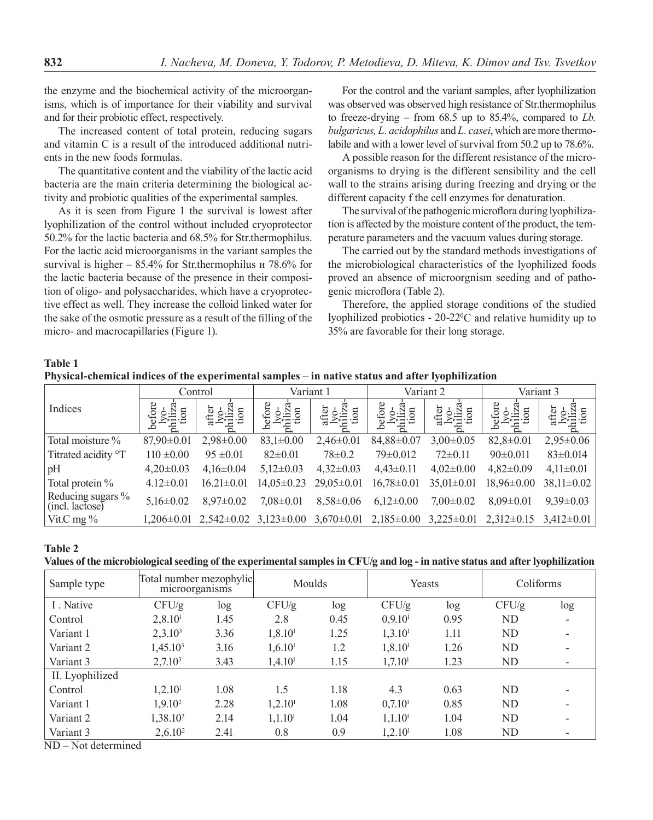the enzyme and the biochemical activity of the microorganisms, which is of importance for their viability and survival and for their probiotic effect, respectively.

The increased content of total protein, reducing sugars and vitamin C is a result of the introduced additional nutrients in the new foods formulas.

The quantitative content and the viability of the lactic acid bacteria are the main criteria determining the biological activity and probiotic qualities of the experimental samples.

As it is seen from Figure 1 the survival is lowest after lyophilization of the control without included cryoprotector 50.2% for the lactic bacteria and 68.5% for Str.thermophilus. For the lactic acid microorganisms in the variant samples the survival is higher – 85.4% for Str.thermophilus и 78.6% for the lactic bacteria because of the presence in their composition of oligo- and polysaccharides, which have a cryoprotective effect as well. They increase the colloid linked water for the sake of the osmotic pressure as a result of the filling of the micro- and macrocapillaries (Figure 1).

For the control and the variant samples, after lyophilization was observed was observed high resistance of Str.thermophilus to freeze-drying – from 68.5 up to 85.4%, compared to *Lb. bulgaricus, L. acidophilus* and *L. casei*, which are more thermolabile and with a lower level of survival from 50.2 up to 78.6%.

A possible reason for the different resistance of the microorganisms to drying is the different sensibility and the cell wall to the strains arising during freezing and drying or the different capacity f the cell enzymes for denaturation.

The survival of the pathogenic microflora during lyophilization is affected by the moisture content of the product, the temperature parameters and the vacuum values during storage.

The carried out by the standard methods investigations of the microbiological characteristics of the lyophilized foods proved an absence of microorgnism seeding and of pathogenic microflora (Table 2).

Therefore, the applied storage conditions of the studied lyophilized probiotics  $-20-22$ <sup>o</sup>C and relative humidity up to 35% are favorable for their long storage.

### **Table 1 Physical-chemical indices of the experimental samples – in native status and after lyophilization**

| Indices                              | Control         |                  | Variant 1       |                 | Variant 2        |                  | Variant 3                     |                 |
|--------------------------------------|-----------------|------------------|-----------------|-----------------|------------------|------------------|-------------------------------|-----------------|
|                                      | n               | ter              | $\mathbf{u}$    | $\Box$          | $\mathbf{a}$     | affer            | $\mathbf{a}$                  |                 |
| Total moisture %                     | $87,90\pm0.01$  | $2,98\pm0.00$    | $83,1 \pm 0.00$ | $2,46\pm0.01$   | 84,88±0.07       | $3,00\pm0.05$    | $82,8 \pm 0.01$               | $2,95 \pm 0.06$ |
| Titrated acidity <sup>o</sup> T      | $110 \pm 0.00$  | $95 \pm 0.01$    | $82 \pm 0.01$   | $78 \pm 0.2$    | $79 \pm 0.012$   | $72 \pm 0.11$    | $90 \pm 0.011$                | $83 \pm 0.014$  |
| pH                                   | $4,20\pm0.03$   | $4,16\pm0.04$    | $5,12\pm0.03$   | $4,32\pm0.03$   | $4,43\pm0.11$    | $4,02\pm0.00$    | $4,82\pm0.09$                 | $4,11\pm0.01$   |
| Total protein %                      | $4.12 \pm 0.01$ | $16.21 \pm 0.01$ | $14,05\pm0.23$  | $29,05\pm0.01$  | $16,78 \pm 0.01$ | $35,01 \pm 0.01$ | $18.96 \pm 0.00$              | $38,11\pm0.02$  |
| Reducing sugars %<br>(incl. lactose) | $5,16\pm0.02$   | $8.97 \pm 0.02$  | $7,08\pm0.01$   | $8,58 \pm 0.06$ | $6.12 \pm 0.00$  | $7.00 \pm 0.02$  | $8.09 \pm 0.01$               | $9.39 \pm 0.03$ |
| Vit.C mg $\%$                        | 1.206±0.01      | $2,542\pm0.02$   | $3,123\pm0.00$  | $3,670\pm0.01$  | $2,185\pm0.00$   | $3,225\pm0.01$   | $2.312\pm0.15$ $3.412\pm0.01$ |                 |

**Table 2** 

**Values of the microbiological seeding of the experimental samples in CFU/g and log - in native status and after lyophilization**

| Sample type                                              | Total number mezophylic<br>microorganisms |      | Moulds               |      | Yeasts               |      | Coliforms |     |
|----------------------------------------------------------|-------------------------------------------|------|----------------------|------|----------------------|------|-----------|-----|
| I. Native                                                | CFU/g                                     | log  | CFU/g                | log  | CFU/g                | log  | CFU/g     | log |
| Control                                                  | 2,8.10 <sup>1</sup>                       | 1.45 | 2.8                  | 0.45 | 0,9.10 <sup>1</sup>  | 0.95 | ND        |     |
| Variant 1                                                | $2,3.10^3$                                | 3.36 | 1, 8.10 <sup>1</sup> | 1.25 | 1,3.10 <sup>1</sup>  | 1.11 | <b>ND</b> |     |
| Variant 2                                                | 1,45.10 <sup>3</sup>                      | 3.16 | 1,6.10 <sup>1</sup>  | 1.2  | 1, 8.10 <sup>1</sup> | 1.26 | ND        |     |
| Variant 3                                                | 2,7.10 <sup>3</sup>                       | 3.43 | 1,4.10 <sup>1</sup>  | 1.15 | 1,7.10 <sup>1</sup>  | 1.23 | <b>ND</b> |     |
| II. Lyophilized                                          |                                           |      |                      |      |                      |      |           |     |
| Control                                                  | 1,2.10 <sup>1</sup>                       | 1.08 | 1.5                  | 1.18 | 4.3                  | 0.63 | ND        |     |
| Variant 1                                                | $1,9.10^2$                                | 2.28 | 1,2.10 <sup>1</sup>  | 1.08 | 0,7.10 <sup>1</sup>  | 0.85 | <b>ND</b> |     |
| Variant 2                                                | 1,38.10 <sup>2</sup>                      | 2.14 | 1,1.10 <sup>1</sup>  | 1.04 | 1,1.10 <sup>1</sup>  | 1.04 | <b>ND</b> |     |
| Variant 3<br>$\sim$ $\sim$ $\sim$ $\sim$<br>$\mathbf{1}$ | $2,6.10^2$                                | 2.41 | 0.8                  | 0.9  | 1,2.10 <sup>1</sup>  | 1.08 | ND        |     |

ND – Not determined